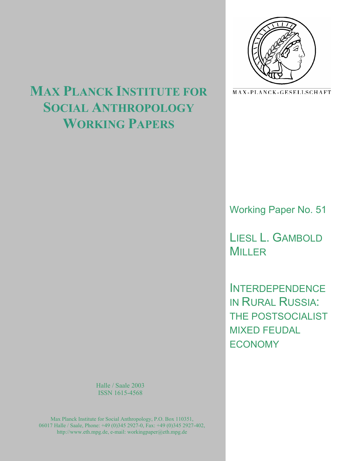

MAX-PLANCK-GESELLSCHAFT

# **MAX PLANCK INSTITUTE FOR SOCIAL ANTHROPOLOGY WORKING PAPERS**

Working Paper No. 51

LIESL L. GAMBOLD MILLER

**INTERDEPENDENCE** IN RURAL RUSSIA: THE POSTSOCIALIST MIXED FEUDAL **ECONOMY** 

Halle / Saale 2003 ISSN 1615-4568

Max Planck Institute for Social Anthropology, P.O. Box 110351, 06017 Halle / Saale, Phone: +49 (0)345 2927-0, Fax: +49 (0)345 2927-402, http://www.eth.mpg.de, e-mail: workingpaper@eth.mpg.de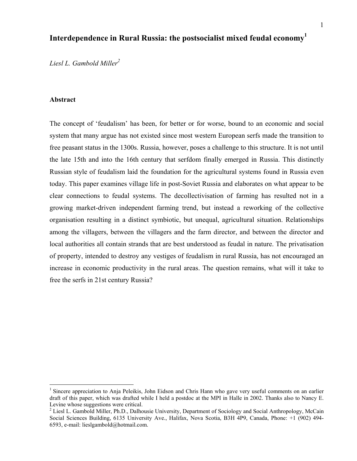# **Interdependence in Rural Russia: the postsocialist mixed feudal economy<sup>1</sup>**

*Liesl L. Gambold Miller<sup>2</sup>*

#### **Abstract**

1

The concept of 'feudalism' has been, for better or for worse, bound to an economic and social system that many argue has not existed since most western European serfs made the transition to free peasant status in the 1300s. Russia, however, poses a challenge to this structure. It is not until the late 15th and into the 16th century that serfdom finally emerged in Russia. This distinctly Russian style of feudalism laid the foundation for the agricultural systems found in Russia even today. This paper examines village life in post-Soviet Russia and elaborates on what appear to be clear connections to feudal systems. The decollectivisation of farming has resulted not in a growing market-driven independent farming trend, but instead a reworking of the collective organisation resulting in a distinct symbiotic, but unequal, agricultural situation. Relationships among the villagers, between the villagers and the farm director, and between the director and local authorities all contain strands that are best understood as feudal in nature. The privatisation of property, intended to destroy any vestiges of feudalism in rural Russia, has not encouraged an increase in economic productivity in the rural areas. The question remains, what will it take to free the serfs in 21st century Russia?

<sup>&</sup>lt;sup>1</sup> Sincere appreciation to Anja Peleikis, John Eidson and Chris Hann who gave very useful comments on an earlier draft of this paper, which was drafted while I held a postdoc at the MPI in Halle in 2002. Thanks also to Nancy E. Levine whose suggestions were critical.

<sup>&</sup>lt;sup>2</sup> Liesl L. Gambold Miller, Ph.D., Dalhousie University, Department of Sociology and Social Anthropology, McCain Social Sciences Building, 6135 University Ave., Halifax, Nova Scotia, B3H 4P9, Canada, Phone: +1 (902) 494- 6593, e-mail: lieslgambold@hotmail.com.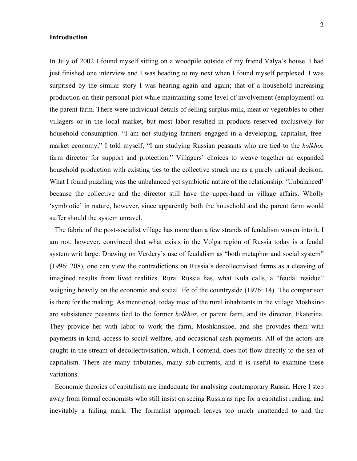#### **Introduction**

In July of 2002 I found myself sitting on a woodpile outside of my friend Valya's house. I had just finished one interview and I was heading to my next when I found myself perplexed. I was surprised by the similar story I was hearing again and again; that of a household increasing production on their personal plot while maintaining some level of involvement (employment) on the parent farm. There were individual details of selling surplus milk, meat or vegetables to other villagers or in the local market, but most labor resulted in products reserved exclusively for household consumption. "I am not studying farmers engaged in a developing, capitalist, freemarket economy," I told myself, "I am studying Russian peasants who are tied to the *kolkhoz* farm director for support and protection." Villagers' choices to weave together an expanded household production with existing ties to the collective struck me as a purely rational decision. What I found puzzling was the unbalanced yet symbiotic nature of the relationship. 'Unbalanced' because the collective and the director still have the upper-hand in village affairs. Wholly 'symbiotic' in nature, however, since apparently both the household and the parent farm would suffer should the system unravel.

 The fabric of the post-socialist village has more than a few strands of feudalism woven into it. I am not, however, convinced that what exists in the Volga region of Russia today is a feudal system writ large. Drawing on Verdery's use of feudalism as "both metaphor and social system" (1996: 208), one can view the contradictions on Russia's decollectivised farms as a cleaving of imagined results from lived realities. Rural Russia has, what Kula calls, a "feudal residue" weighing heavily on the economic and social life of the countryside (1976: 14). The comparison is there for the making. As mentioned, today most of the rural inhabitants in the village Moshkino are subsistence peasants tied to the former *kolkhoz*, or parent farm, and its director, Ekaterina. They provide her with labor to work the farm, Moshkinskoe, and she provides them with payments in kind, access to social welfare, and occasional cash payments. All of the actors are caught in the stream of decollectivisation, which, I contend, does not flow directly to the sea of capitalism. There are many tributaries, many sub-currents, and it is useful to examine these variations.

 Economic theories of capitalism are inadequate for analysing contemporary Russia. Here I step away from formal economists who still insist on seeing Russia as ripe for a capitalist reading, and inevitably a failing mark. The formalist approach leaves too much unattended to and the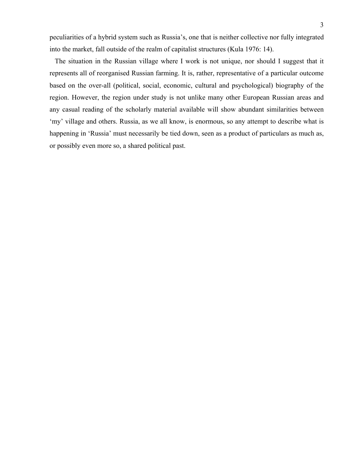peculiarities of a hybrid system such as Russia's, one that is neither collective nor fully integrated into the market, fall outside of the realm of capitalist structures (Kula 1976: 14).

 The situation in the Russian village where I work is not unique, nor should I suggest that it represents all of reorganised Russian farming. It is, rather, representative of a particular outcome based on the over-all (political, social, economic, cultural and psychological) biography of the region. However, the region under study is not unlike many other European Russian areas and any casual reading of the scholarly material available will show abundant similarities between 'my' village and others. Russia, as we all know, is enormous, so any attempt to describe what is happening in 'Russia' must necessarily be tied down, seen as a product of particulars as much as, or possibly even more so, a shared political past.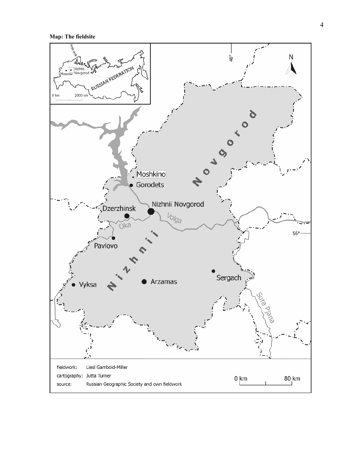**Map: The fieldsite** 

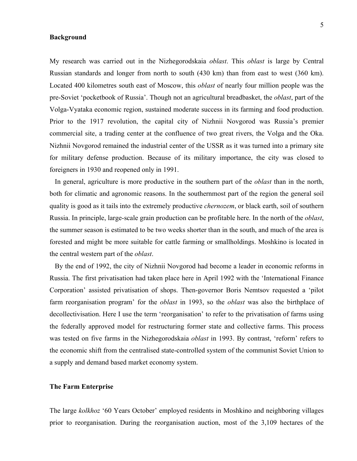#### **Background**

My research was carried out in the Nizhegorodskaia *oblast*. This *oblast* is large by Central Russian standards and longer from north to south (430 km) than from east to west (360 km). Located 400 kilometres south east of Moscow, this *oblast* of nearly four million people was the pre-Soviet 'pocketbook of Russia'. Though not an agricultural breadbasket, the *oblast*, part of the Volga-Vyataka economic region, sustained moderate success in its farming and food production. Prior to the 1917 revolution, the capital city of Nizhnii Novgorod was Russia's premier commercial site, a trading center at the confluence of two great rivers, the Volga and the Oka. Nizhnii Novgorod remained the industrial center of the USSR as it was turned into a primary site for military defense production. Because of its military importance, the city was closed to foreigners in 1930 and reopened only in 1991.

 In general, agriculture is more productive in the southern part of the *oblast* than in the north, both for climatic and agronomic reasons. In the southernmost part of the region the general soil quality is good as it tails into the extremely productive *chernozem*, or black earth, soil of southern Russia. In principle, large-scale grain production can be profitable here. In the north of the *oblast*, the summer season is estimated to be two weeks shorter than in the south, and much of the area is forested and might be more suitable for cattle farming or smallholdings. Moshkino is located in the central western part of the *oblast*.

 By the end of 1992, the city of Nizhnii Novgorod had become a leader in economic reforms in Russia. The first privatisation had taken place here in April 1992 with the 'International Finance Corporation' assisted privatisation of shops. Then-governor Boris Nemtsov requested a 'pilot farm reorganisation program' for the *oblast* in 1993, so the *oblast* was also the birthplace of decollectivisation. Here I use the term 'reorganisation' to refer to the privatisation of farms using the federally approved model for restructuring former state and collective farms. This process was tested on five farms in the Nizhegorodskaia *oblast* in 1993. By contrast, 'reform' refers to the economic shift from the centralised state-controlled system of the communist Soviet Union to a supply and demand based market economy system.

#### **The Farm Enterprise**

The large *kolkhoz* '60 Years October' employed residents in Moshkino and neighboring villages prior to reorganisation. During the reorganisation auction, most of the 3,109 hectares of the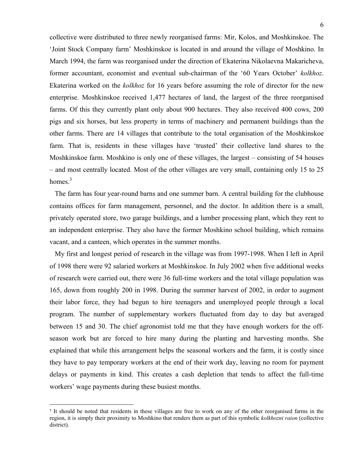collective were distributed to three newly reorganised farms: Mir, Kolos, and Moshkinskoe. The 'Joint Stock Company farm' Moshkinskoe is located in and around the village of Moshkino. In March 1994, the farm was reorganised under the direction of Ekaterina Nikolaevna Makaricheva, former accountant, economist and eventual sub-chairman of the '60 Years October' *kolkhoz*. Ekaterina worked on the *kolkhoz* for 16 years before assuming the role of director for the new enterprise. Moshkinskoe received 1,477 hectares of land, the largest of the three reorganised farms. Of this they currently plant only about 900 hectares. They also received 400 cows, 200 pigs and six horses, but less property in terms of machinery and permanent buildings than the other farms. There are 14 villages that contribute to the total organisation of the Moshkinskoe farm. That is, residents in these villages have 'trusted' their collective land shares to the Moshkinskoe farm. Moshkino is only one of these villages, the largest – consisting of 54 houses – and most centrally located. Most of the other villages are very small, containing only 15 to 25 homes. $3$ 

 The farm has four year-round barns and one summer barn. A central building for the clubhouse contains offices for farm management, personnel, and the doctor. In addition there is a small, privately operated store, two garage buildings, and a lumber processing plant, which they rent to an independent enterprise. They also have the former Moshkino school building, which remains vacant, and a canteen, which operates in the summer months.

 My first and longest period of research in the village was from 1997-1998. When I left in April of 1998 there were 92 salaried workers at Moshkinskoe. In July 2002 when five additional weeks of research were carried out, there were 36 full-time workers and the total village population was 165, down from roughly 200 in 1998. During the summer harvest of 2002, in order to augment their labor force, they had begun to hire teenagers and unemployed people through a local program. The number of supplementary workers fluctuated from day to day but averaged between 15 and 30. The chief agronomist told me that they have enough workers for the offseason work but are forced to hire many during the planting and harvesting months. She explained that while this arrangement helps the seasonal workers and the farm, it is costly since they have to pay temporary workers at the end of their work day, leaving no room for payment delays or payments in kind. This creates a cash depletion that tends to affect the full-time workers' wage payments during these busiest months.

<sup>&</sup>lt;sup>3</sup> It should be noted that residents in these villages are free to work on any of the other reorganised farms in the region, it is simply their proximity to Moshkino that renders them as part of this symbolic *kolkhozni raion* (collective district).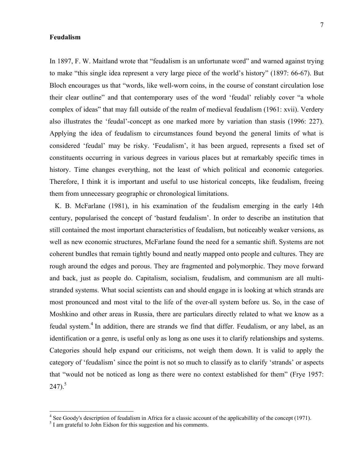#### **Feudalism**

In 1897, F. W. Maitland wrote that "feudalism is an unfortunate word" and warned against trying to make "this single idea represent a very large piece of the world's history" (1897: 66-67). But Bloch encourages us that "words, like well-worn coins, in the course of constant circulation lose their clear outline" and that contemporary uses of the word 'feudal' reliably cover "a whole complex of ideas" that may fall outside of the realm of medieval feudalism (1961: xvii). Verdery also illustrates the 'feudal'-concept as one marked more by variation than stasis (1996: 227). Applying the idea of feudalism to circumstances found beyond the general limits of what is considered 'feudal' may be risky. 'Feudalism', it has been argued, represents a fixed set of constituents occurring in various degrees in various places but at remarkably specific times in history. Time changes everything, not the least of which political and economic categories. Therefore, I think it is important and useful to use historical concepts, like feudalism, freeing them from unnecessary geographic or chronological limitations.

 K. B. McFarlane (1981), in his examination of the feudalism emerging in the early 14th century, popularised the concept of 'bastard feudalism'. In order to describe an institution that still contained the most important characteristics of feudalism, but noticeably weaker versions, as well as new economic structures, McFarlane found the need for a semantic shift. Systems are not coherent bundles that remain tightly bound and neatly mapped onto people and cultures. They are rough around the edges and porous. They are fragmented and polymorphic. They move forward and back, just as people do. Capitalism, socialism, feudalism, and communism are all multistranded systems. What social scientists can and should engage in is looking at which strands are most pronounced and most vital to the life of the over-all system before us. So, in the case of Moshkino and other areas in Russia, there are particulars directly related to what we know as a feudal system.<sup>4</sup> In addition, there are strands we find that differ. Feudalism, or any label, as an identification or a genre, is useful only as long as one uses it to clarify relationships and systems. Categories should help expand our criticisms, not weigh them down. It is valid to apply the category of 'feudalism' since the point is not so much to classify as to clarify 'strands' or aspects that "would not be noticed as long as there were no context established for them" (Frye 1957:  $247)$ .<sup>5</sup>

 $\frac{4}{\pi}$  See Goody's description of feudalism in Africa for a classic account of the applicabillity of the concept (1971).

 $<sup>5</sup>$  I am grateful to John Eidson for this suggestion and his comments.</sup>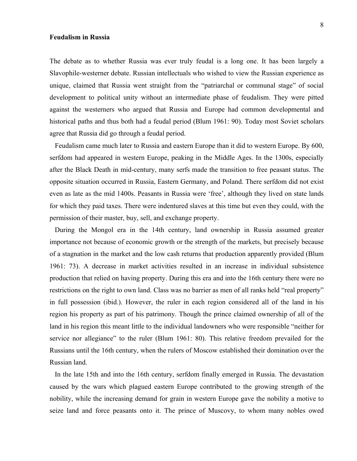#### **Feudalism in Russia**

The debate as to whether Russia was ever truly feudal is a long one. It has been largely a Slavophile-westerner debate. Russian intellectuals who wished to view the Russian experience as unique, claimed that Russia went straight from the "patriarchal or communal stage" of social development to political unity without an intermediate phase of feudalism. They were pitted against the westerners who argued that Russia and Europe had common developmental and historical paths and thus both had a feudal period (Blum 1961: 90). Today most Soviet scholars agree that Russia did go through a feudal period.

 Feudalism came much later to Russia and eastern Europe than it did to western Europe. By 600, serfdom had appeared in western Europe, peaking in the Middle Ages. In the 1300s, especially after the Black Death in mid-century, many serfs made the transition to free peasant status. The opposite situation occurred in Russia, Eastern Germany, and Poland. There serfdom did not exist even as late as the mid 1400s. Peasants in Russia were 'free', although they lived on state lands for which they paid taxes. There were indentured slaves at this time but even they could, with the permission of their master, buy, sell, and exchange property.

 During the Mongol era in the 14th century, land ownership in Russia assumed greater importance not because of economic growth or the strength of the markets, but precisely because of a stagnation in the market and the low cash returns that production apparently provided (Blum 1961: 73). A decrease in market activities resulted in an increase in individual subsistence production that relied on having property. During this era and into the 16th century there were no restrictions on the right to own land. Class was no barrier as men of all ranks held "real property" in full possession (ibid.). However, the ruler in each region considered all of the land in his region his property as part of his patrimony. Though the prince claimed ownership of all of the land in his region this meant little to the individual landowners who were responsible "neither for service nor allegiance" to the ruler (Blum 1961: 80). This relative freedom prevailed for the Russians until the 16th century, when the rulers of Moscow established their domination over the Russian land.

 In the late 15th and into the 16th century, serfdom finally emerged in Russia. The devastation caused by the wars which plagued eastern Europe contributed to the growing strength of the nobility, while the increasing demand for grain in western Europe gave the nobility a motive to seize land and force peasants onto it. The prince of Muscovy, to whom many nobles owed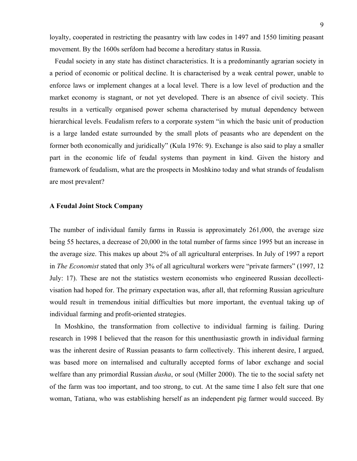loyalty, cooperated in restricting the peasantry with law codes in 1497 and 1550 limiting peasant movement. By the 1600s serfdom had become a hereditary status in Russia.

 Feudal society in any state has distinct characteristics. It is a predominantly agrarian society in a period of economic or political decline. It is characterised by a weak central power, unable to enforce laws or implement changes at a local level. There is a low level of production and the market economy is stagnant, or not yet developed. There is an absence of civil society. This results in a vertically organised power schema characterised by mutual dependency between hierarchical levels. Feudalism refers to a corporate system "in which the basic unit of production is a large landed estate surrounded by the small plots of peasants who are dependent on the former both economically and juridically" (Kula 1976: 9). Exchange is also said to play a smaller part in the economic life of feudal systems than payment in kind. Given the history and framework of feudalism, what are the prospects in Moshkino today and what strands of feudalism are most prevalent?

#### **A Feudal Joint Stock Company**

The number of individual family farms in Russia is approximately 261,000, the average size being 55 hectares, a decrease of 20,000 in the total number of farms since 1995 but an increase in the average size. This makes up about 2% of all agricultural enterprises. In July of 1997 a report in *The Economist* stated that only 3% of all agricultural workers were "private farmers" (1997, 12 July: 17). These are not the statistics western economists who engineered Russian decollectivisation had hoped for. The primary expectation was, after all, that reforming Russian agriculture would result in tremendous initial difficulties but more important, the eventual taking up of individual farming and profit-oriented strategies.

 In Moshkino, the transformation from collective to individual farming is failing. During research in 1998 I believed that the reason for this unenthusiastic growth in individual farming was the inherent desire of Russian peasants to farm collectively. This inherent desire, I argued, was based more on internalised and culturally accepted forms of labor exchange and social welfare than any primordial Russian *dusha*, or soul (Miller 2000). The tie to the social safety net of the farm was too important, and too strong, to cut. At the same time I also felt sure that one woman, Tatiana, who was establishing herself as an independent pig farmer would succeed. By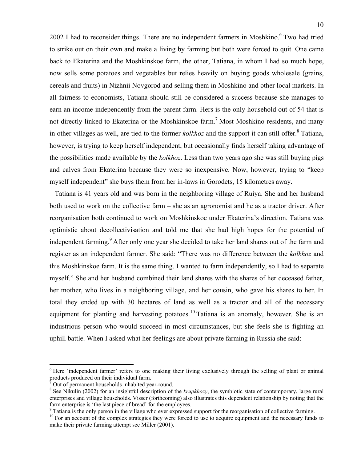2002 I had to reconsider things. There are no independent farmers in Moshkino.<sup>6</sup> Two had tried to strike out on their own and make a living by farming but both were forced to quit. One came back to Ekaterina and the Moshkinskoe farm, the other, Tatiana, in whom I had so much hope, now sells some potatoes and vegetables but relies heavily on buying goods wholesale (grains, cereals and fruits) in Nizhnii Novgorod and selling them in Moshkino and other local markets. In all fairness to economists, Tatiana should still be considered a success because she manages to earn an income independently from the parent farm. Hers is the only household out of 54 that is not directly linked to Ekaterina or the Moshkinskoe farm.<sup>7</sup> Most Moshkino residents, and many in other villages as well, are tied to the former *kolkhoz* and the support it can still offer.<sup>8</sup> Tatiana, however, is trying to keep herself independent, but occasionally finds herself taking advantage of the possibilities made available by the *kolkhoz*. Less than two years ago she was still buying pigs and calves from Ekaterina because they were so inexpensive. Now, however, trying to "keep myself independent" she buys them from her in-laws in Gorodets, 15 kilometres away.

 Tatiana is 41 years old and was born in the neighboring village of Ruiya. She and her husband both used to work on the collective farm – she as an agronomist and he as a tractor driver. After reorganisation both continued to work on Moshkinskoe under Ekaterina's direction. Tatiana was optimistic about decollectivisation and told me that she had high hopes for the potential of independent farming.<sup>9</sup> After only one year she decided to take her land shares out of the farm and register as an independent farmer. She said: "There was no difference between the *kolkhoz* and this Moshkinskoe farm. It is the same thing. I wanted to farm independently, so I had to separate myself." She and her husband combined their land shares with the shares of her deceased father, her mother, who lives in a neighboring village, and her cousin, who gave his shares to her. In total they ended up with 30 hectares of land as well as a tractor and all of the necessary equipment for planting and harvesting potatoes.<sup>10</sup> Tatiana is an anomaly, however. She is an industrious person who would succeed in most circumstances, but she feels she is fighting an uphill battle. When I asked what her feelings are about private farming in Russia she said:

<sup>&</sup>lt;sup>6</sup> Here 'independent farmer' refers to one making their living exclusively through the selling of plant or animal products produced on their individual farm.

<sup>7</sup> Out of permanent households inhabited year-round.

<sup>&</sup>lt;sup>8</sup> See Nikulin (2002) for an insightful description of the *krupkhozy*, the symbiotic state of contemporary, large rural enterprises and village households. Visser (forthcoming) also illustrates this dependent relationship by noting that the farm enterprise is 'the last piece of bread' for the employees.

<sup>&</sup>lt;sup>9</sup> Tatiana is the only person in the village who ever expressed support for the reorganisation of collective farming.

<sup>&</sup>lt;sup>10</sup> For an account of the complex strategies they were forced to use to acquire equipment and the necessary funds to make their private farming attempt see Miller (2001).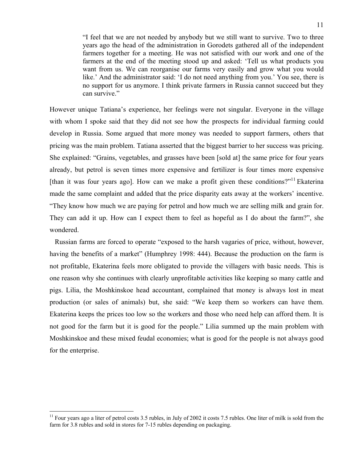"I feel that we are not needed by anybody but we still want to survive. Two to three years ago the head of the administration in Gorodets gathered all of the independent farmers together for a meeting. He was not satisfied with our work and one of the farmers at the end of the meeting stood up and asked: 'Tell us what products you want from us. We can reorganise our farms very easily and grow what you would like.' And the administrator said: 'I do not need anything from you.' You see, there is no support for us anymore. I think private farmers in Russia cannot succeed but they can survive."

However unique Tatiana's experience, her feelings were not singular. Everyone in the village with whom I spoke said that they did not see how the prospects for individual farming could develop in Russia. Some argued that more money was needed to support farmers, others that pricing was the main problem. Tatiana asserted that the biggest barrier to her success was pricing. She explained: "Grains, vegetables, and grasses have been [sold at] the same price for four years already, but petrol is seven times more expensive and fertilizer is four times more expensive [than it was four years ago]. How can we make a profit given these conditions?"<sup>11</sup> Ekaterina made the same complaint and added that the price disparity eats away at the workers' incentive. "They know how much we are paying for petrol and how much we are selling milk and grain for. They can add it up. How can I expect them to feel as hopeful as I do about the farm?", she wondered.

 Russian farms are forced to operate "exposed to the harsh vagaries of price, without, however, having the benefits of a market" (Humphrey 1998: 444). Because the production on the farm is not profitable, Ekaterina feels more obligated to provide the villagers with basic needs. This is one reason why she continues with clearly unprofitable activities like keeping so many cattle and pigs. Lilia, the Moshkinskoe head accountant, complained that money is always lost in meat production (or sales of animals) but, she said: "We keep them so workers can have them. Ekaterina keeps the prices too low so the workers and those who need help can afford them. It is not good for the farm but it is good for the people." Lilia summed up the main problem with Moshkinskoe and these mixed feudal economies; what is good for the people is not always good for the enterprise.

<sup>11</sup> Four years ago a liter of petrol costs 3.5 rubles, in July of 2002 it costs 7.5 rubles. One liter of milk is sold from the farm for 3.8 rubles and sold in stores for 7-15 rubles depending on packaging.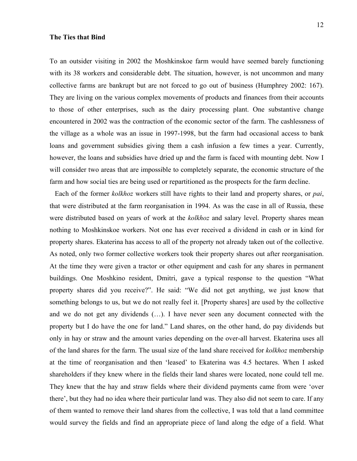#### **The Ties that Bind**

To an outsider visiting in 2002 the Moshkinskoe farm would have seemed barely functioning with its 38 workers and considerable debt. The situation, however, is not uncommon and many collective farms are bankrupt but are not forced to go out of business (Humphrey 2002: 167). They are living on the various complex movements of products and finances from their accounts to those of other enterprises, such as the dairy processing plant. One substantive change encountered in 2002 was the contraction of the economic sector of the farm. The cashlessness of the village as a whole was an issue in 1997-1998, but the farm had occasional access to bank loans and government subsidies giving them a cash infusion a few times a year. Currently, however, the loans and subsidies have dried up and the farm is faced with mounting debt. Now I will consider two areas that are impossible to completely separate, the economic structure of the farm and how social ties are being used or repartitioned as the prospects for the farm decline.

 Each of the former *kolkhoz* workers still have rights to their land and property shares, or *pai*, that were distributed at the farm reorganisation in 1994. As was the case in all of Russia, these were distributed based on years of work at the *kolkhoz* and salary level. Property shares mean nothing to Moshkinskoe workers. Not one has ever received a dividend in cash or in kind for property shares. Ekaterina has access to all of the property not already taken out of the collective. As noted, only two former collective workers took their property shares out after reorganisation. At the time they were given a tractor or other equipment and cash for any shares in permanent buildings. One Moshkino resident, Dmitri, gave a typical response to the question "What property shares did you receive?". He said: "We did not get anything, we just know that something belongs to us, but we do not really feel it. [Property shares] are used by the collective and we do not get any dividends (…). I have never seen any document connected with the property but I do have the one for land." Land shares, on the other hand, do pay dividends but only in hay or straw and the amount varies depending on the over-all harvest. Ekaterina uses all of the land shares for the farm. The usual size of the land share received for *kolkhoz* membership at the time of reorganisation and then 'leased' to Ekaterina was 4.5 hectares. When I asked shareholders if they knew where in the fields their land shares were located, none could tell me. They knew that the hay and straw fields where their dividend payments came from were 'over there', but they had no idea where their particular land was. They also did not seem to care. If any of them wanted to remove their land shares from the collective, I was told that a land committee would survey the fields and find an appropriate piece of land along the edge of a field. What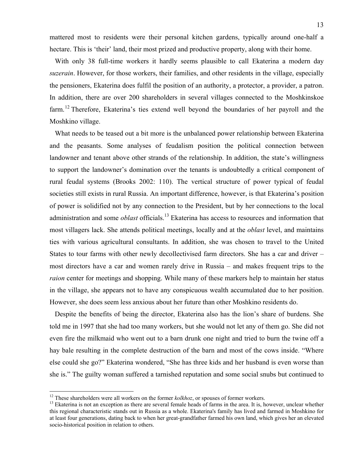mattered most to residents were their personal kitchen gardens, typically around one-half a hectare. This is 'their' land, their most prized and productive property, along with their home.

 With only 38 full-time workers it hardly seems plausible to call Ekaterina a modern day *suzerain*. However, for those workers, their families, and other residents in the village, especially the pensioners, Ekaterina does fulfil the position of an authority, a protector, a provider, a patron. In addition, there are over 200 shareholders in several villages connected to the Moshkinskoe farm.<sup>12</sup> Therefore, Ekaterina's ties extend well beyond the boundaries of her payroll and the Moshkino village.

 What needs to be teased out a bit more is the unbalanced power relationship between Ekaterina and the peasants. Some analyses of feudalism position the political connection between landowner and tenant above other strands of the relationship. In addition, the state's willingness to support the landowner's domination over the tenants is undoubtedly a critical component of rural feudal systems (Brooks 2002: 110). The vertical structure of power typical of feudal societies still exists in rural Russia. An important difference, however, is that Ekaterina's position of power is solidified not by any connection to the President, but by her connections to the local administration and some *oblast* officials.<sup>13</sup> Ekaterina has access to resources and information that most villagers lack. She attends political meetings, locally and at the *oblast* level, and maintains ties with various agricultural consultants. In addition, she was chosen to travel to the United States to tour farms with other newly decollectivised farm directors. She has a car and driver – most directors have a car and women rarely drive in Russia – and makes frequent trips to the *raion* center for meetings and shopping. While many of these markers help to maintain her status in the village, she appears not to have any conspicuous wealth accumulated due to her position. However, she does seem less anxious about her future than other Moshkino residents do.

 Despite the benefits of being the director, Ekaterina also has the lion's share of burdens. She told me in 1997 that she had too many workers, but she would not let any of them go. She did not even fire the milkmaid who went out to a barn drunk one night and tried to burn the twine off a hay bale resulting in the complete destruction of the barn and most of the cows inside. "Where else could she go?" Ekaterina wondered, "She has three kids and her husband is even worse than she is." The guilty woman suffered a tarnished reputation and some social snubs but continued to

<sup>&</sup>lt;sup>12</sup> These shareholders were all workers on the former  $kolkoz$ , or spouses of former workers.<br><sup>13</sup> Ekaterina is not an exception as there are several female heads of farms in the area. It is, however, unclear whether this regional characteristic stands out in Russia as a whole. Ekaterina's family has lived and farmed in Moshkino for at least four generations, dating back to when her great-grandfather farmed his own land, which gives her an elevated socio-historical position in relation to others.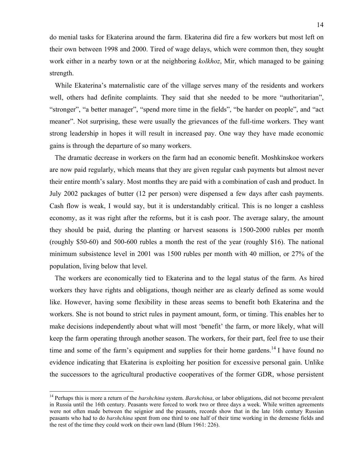do menial tasks for Ekaterina around the farm. Ekaterina did fire a few workers but most left on their own between 1998 and 2000. Tired of wage delays, which were common then, they sought work either in a nearby town or at the neighboring *kolkhoz*, Mir, which managed to be gaining strength.

 While Ekaterina's maternalistic care of the village serves many of the residents and workers well, others had definite complaints. They said that she needed to be more "authoritarian", "stronger", "a better manager", "spend more time in the fields", "be harder on people", and "act meaner". Not surprising, these were usually the grievances of the full-time workers. They want strong leadership in hopes it will result in increased pay. One way they have made economic gains is through the departure of so many workers.

 The dramatic decrease in workers on the farm had an economic benefit. Moshkinskoe workers are now paid regularly, which means that they are given regular cash payments but almost never their entire month's salary. Most months they are paid with a combination of cash and product. In July 2002 packages of butter (12 per person) were dispensed a few days after cash payments. Cash flow is weak, I would say, but it is understandably critical. This is no longer a cashless economy, as it was right after the reforms, but it is cash poor. The average salary, the amount they should be paid, during the planting or harvest seasons is 1500-2000 rubles per month (roughly \$50-60) and 500-600 rubles a month the rest of the year (roughly \$16). The national minimum subsistence level in 2001 was 1500 rubles per month with 40 million, or 27% of the population, living below that level.

 The workers are economically tied to Ekaterina and to the legal status of the farm. As hired workers they have rights and obligations, though neither are as clearly defined as some would like. However, having some flexibility in these areas seems to benefit both Ekaterina and the workers. She is not bound to strict rules in payment amount, form, or timing. This enables her to make decisions independently about what will most 'benefit' the farm, or more likely, what will keep the farm operating through another season. The workers, for their part, feel free to use their time and some of the farm's equipment and supplies for their home gardens.<sup>14</sup> I have found no evidence indicating that Ekaterina is exploiting her position for excessive personal gain. Unlike the successors to the agricultural productive cooperatives of the former GDR, whose persistent

<sup>&</sup>lt;sup>14</sup> Perhaps this is more a return of the *barshchina* system. *Barshchina*, or labor obligations, did not become prevalent in Russia until the 16th century. Peasants were forced to work two or three days a week. While written agreements were not often made between the seignior and the peasants, records show that in the late 16th century Russian peasants who had to do *barshchina* spent from one third to one half of their time working in the demesne fields and the rest of the time they could work on their own land (Blum 1961: 226).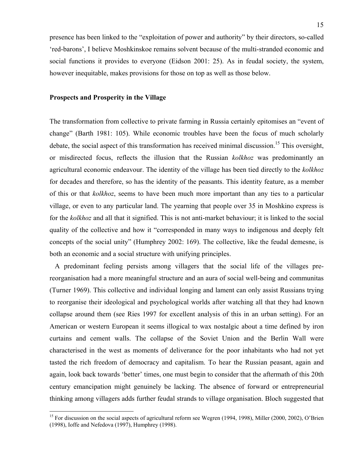presence has been linked to the "exploitation of power and authority" by their directors, so-called 'red-barons', I believe Moshkinskoe remains solvent because of the multi-stranded economic and social functions it provides to everyone (Eidson 2001: 25). As in feudal society, the system, however inequitable, makes provisions for those on top as well as those below.

## **Prospects and Prosperity in the Village**

1

The transformation from collective to private farming in Russia certainly epitomises an "event of change" (Barth 1981: 105). While economic troubles have been the focus of much scholarly debate, the social aspect of this transformation has received minimal discussion.<sup>15</sup> This oversight, or misdirected focus, reflects the illusion that the Russian *kolkhoz* was predominantly an agricultural economic endeavour. The identity of the village has been tied directly to the *kolkhoz* for decades and therefore, so has the identity of the peasants. This identity feature, as a member of this or that *kolkhoz*, seems to have been much more important than any ties to a particular village, or even to any particular land. The yearning that people over 35 in Moshkino express is for the *kolkhoz* and all that it signified. This is not anti-market behaviour; it is linked to the social quality of the collective and how it "corresponded in many ways to indigenous and deeply felt concepts of the social unity" (Humphrey 2002: 169). The collective, like the feudal demesne, is both an economic and a social structure with unifying principles.

 A predominant feeling persists among villagers that the social life of the villages prereorganisation had a more meaningful structure and an aura of social well-being and communitas (Turner 1969). This collective and individual longing and lament can only assist Russians trying to reorganise their ideological and psychological worlds after watching all that they had known collapse around them (see Ries 1997 for excellent analysis of this in an urban setting). For an American or western European it seems illogical to wax nostalgic about a time defined by iron curtains and cement walls. The collapse of the Soviet Union and the Berlin Wall were characterised in the west as moments of deliverance for the poor inhabitants who had not yet tasted the rich freedom of democracy and capitalism. To hear the Russian peasant, again and again, look back towards 'better' times, one must begin to consider that the aftermath of this 20th century emancipation might genuinely be lacking. The absence of forward or entrepreneurial thinking among villagers adds further feudal strands to village organisation. Bloch suggested that

<sup>&</sup>lt;sup>15</sup> For discussion on the social aspects of agricultural reform see Wegren (1994, 1998), Miller (2000, 2002), O'Brien (1998), Ioffe and Nefedova (1997), Humphrey (1998).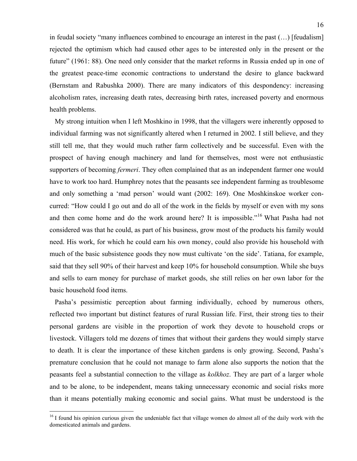in feudal society "many influences combined to encourage an interest in the past (…) [feudalism] rejected the optimism which had caused other ages to be interested only in the present or the future" (1961: 88). One need only consider that the market reforms in Russia ended up in one of the greatest peace-time economic contractions to understand the desire to glance backward (Bernstam and Rabushka 2000). There are many indicators of this despondency: increasing alcoholism rates, increasing death rates, decreasing birth rates, increased poverty and enormous health problems.

 My strong intuition when I left Moshkino in 1998, that the villagers were inherently opposed to individual farming was not significantly altered when I returned in 2002. I still believe, and they still tell me, that they would much rather farm collectively and be successful. Even with the prospect of having enough machinery and land for themselves, most were not enthusiastic supporters of becoming *fermeri*. They often complained that as an independent farmer one would have to work too hard. Humphrey notes that the peasants see independent farming as troublesome and only something a 'mad person' would want (2002: 169). One Moshkinskoe worker concurred: "How could I go out and do all of the work in the fields by myself or even with my sons and then come home and do the work around here? It is impossible."<sup>16</sup> What Pasha had not considered was that he could, as part of his business, grow most of the products his family would need. His work, for which he could earn his own money, could also provide his household with much of the basic subsistence goods they now must cultivate 'on the side'. Tatiana, for example, said that they sell 90% of their harvest and keep 10% for household consumption. While she buys and sells to earn money for purchase of market goods, she still relies on her own labor for the basic household food items.

 Pasha's pessimistic perception about farming individually, echoed by numerous others, reflected two important but distinct features of rural Russian life. First, their strong ties to their personal gardens are visible in the proportion of work they devote to household crops or livestock. Villagers told me dozens of times that without their gardens they would simply starve to death. It is clear the importance of these kitchen gardens is only growing. Second, Pasha's premature conclusion that he could not manage to farm alone also supports the notion that the peasants feel a substantial connection to the village as *kolkhoz*. They are part of a larger whole and to be alone, to be independent, means taking unnecessary economic and social risks more than it means potentially making economic and social gains. What must be understood is the

 $16$  I found his opinion curious given the undeniable fact that village women do almost all of the daily work with the domesticated animals and gardens.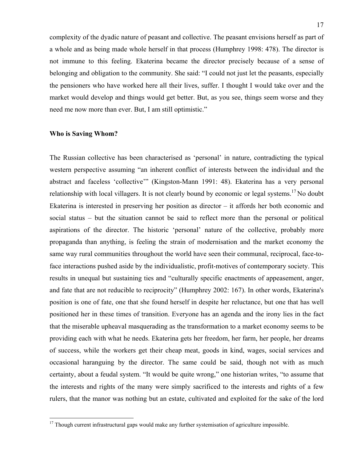complexity of the dyadic nature of peasant and collective. The peasant envisions herself as part of a whole and as being made whole herself in that process (Humphrey 1998: 478). The director is not immune to this feeling. Ekaterina became the director precisely because of a sense of belonging and obligation to the community. She said: "I could not just let the peasants, especially the pensioners who have worked here all their lives, suffer. I thought I would take over and the market would develop and things would get better. But, as you see, things seem worse and they need me now more than ever. But, I am still optimistic."

#### **Who is Saving Whom?**

1

The Russian collective has been characterised as 'personal' in nature, contradicting the typical western perspective assuming "an inherent conflict of interests between the individual and the abstract and faceless 'collective'" (Kingston-Mann 1991: 48). Ekaterina has a very personal relationship with local villagers. It is not clearly bound by economic or legal systems.<sup>17</sup> No doubt Ekaterina is interested in preserving her position as director – it affords her both economic and social status – but the situation cannot be said to reflect more than the personal or political aspirations of the director. The historic 'personal' nature of the collective, probably more propaganda than anything, is feeling the strain of modernisation and the market economy the same way rural communities throughout the world have seen their communal, reciprocal, face-toface interactions pushed aside by the individualistic, profit-motives of contemporary society. This results in unequal but sustaining ties and "culturally specific enactments of appeasement, anger, and fate that are not reducible to reciprocity" (Humphrey 2002: 167). In other words, Ekaterina's position is one of fate, one that she found herself in despite her reluctance, but one that has well positioned her in these times of transition. Everyone has an agenda and the irony lies in the fact that the miserable upheaval masquerading as the transformation to a market economy seems to be providing each with what he needs. Ekaterina gets her freedom, her farm, her people, her dreams of success, while the workers get their cheap meat, goods in kind, wages, social services and occasional haranguing by the director. The same could be said, though not with as much certainty, about a feudal system. "It would be quite wrong," one historian writes, "to assume that the interests and rights of the many were simply sacrificed to the interests and rights of a few rulers, that the manor was nothing but an estate, cultivated and exploited for the sake of the lord

<sup>&</sup>lt;sup>17</sup> Though current infrastructural gaps would make any further systemisation of agriculture impossible.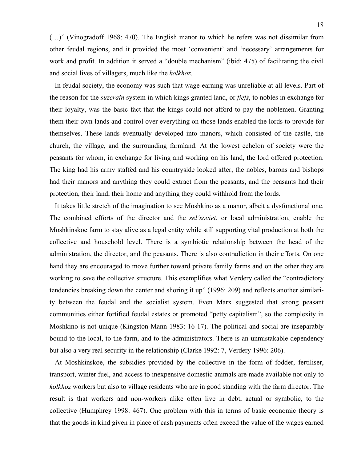(…)" (Vinogradoff 1968: 470). The English manor to which he refers was not dissimilar from other feudal regions, and it provided the most 'convenient' and 'necessary' arrangements for work and profit. In addition it served a "double mechanism" (ibid: 475) of facilitating the civil and social lives of villagers, much like the *kolkhoz*.

 In feudal society, the economy was such that wage-earning was unreliable at all levels. Part of the reason for the *suzerain* system in which kings granted land, or *fiefs*, to nobles in exchange for their loyalty, was the basic fact that the kings could not afford to pay the noblemen. Granting them their own lands and control over everything on those lands enabled the lords to provide for themselves. These lands eventually developed into manors, which consisted of the castle, the church, the village, and the surrounding farmland. At the lowest echelon of society were the peasants for whom, in exchange for living and working on his land, the lord offered protection. The king had his army staffed and his countryside looked after, the nobles, barons and bishops had their manors and anything they could extract from the peasants, and the peasants had their protection, their land, their home and anything they could withhold from the lords.

 It takes little stretch of the imagination to see Moshkino as a manor, albeit a dysfunctional one. The combined efforts of the director and the *sel'soviet*, or local administration, enable the Moshkinskoe farm to stay alive as a legal entity while still supporting vital production at both the collective and household level. There is a symbiotic relationship between the head of the administration, the director, and the peasants. There is also contradiction in their efforts. On one hand they are encouraged to move further toward private family farms and on the other they are working to save the collective structure. This exemplifies what Verdery called the "contradictory tendencies breaking down the center and shoring it up" (1996: 209) and reflects another similarity between the feudal and the socialist system. Even Marx suggested that strong peasant communities either fortified feudal estates or promoted "petty capitalism", so the complexity in Moshkino is not unique (Kingston-Mann 1983: 16-17). The political and social are inseparably bound to the local, to the farm, and to the administrators. There is an unmistakable dependency but also a very real security in the relationship (Clarke 1992: 7, Verdery 1996: 206).

 At Moshkinskoe, the subsidies provided by the collective in the form of fodder, fertiliser, transport, winter fuel, and access to inexpensive domestic animals are made available not only to *kolkhoz* workers but also to village residents who are in good standing with the farm director. The result is that workers and non-workers alike often live in debt, actual or symbolic, to the collective (Humphrey 1998: 467). One problem with this in terms of basic economic theory is that the goods in kind given in place of cash payments often exceed the value of the wages earned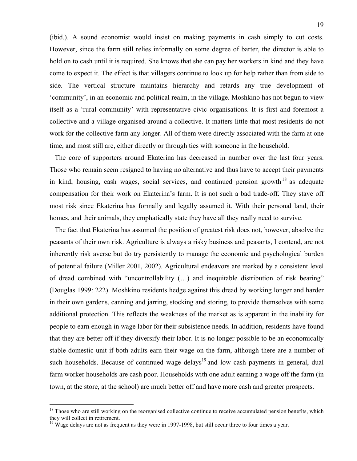(ibid.). A sound economist would insist on making payments in cash simply to cut costs. However, since the farm still relies informally on some degree of barter, the director is able to hold on to cash until it is required. She knows that she can pay her workers in kind and they have come to expect it. The effect is that villagers continue to look up for help rather than from side to side. The vertical structure maintains hierarchy and retards any true development of 'community', in an economic and political realm, in the village. Moshkino has not begun to view itself as a 'rural community' with representative civic organisations. It is first and foremost a collective and a village organised around a collective. It matters little that most residents do not work for the collective farm any longer. All of them were directly associated with the farm at one time, and most still are, either directly or through ties with someone in the household.

 The core of supporters around Ekaterina has decreased in number over the last four years. Those who remain seem resigned to having no alternative and thus have to accept their payments in kind, housing, cash wages, social services, and continued pension growth<sup>18</sup> as adequate compensation for their work on Ekaterina's farm. It is not such a bad trade-off. They stave off most risk since Ekaterina has formally and legally assumed it. With their personal land, their homes, and their animals, they emphatically state they have all they really need to survive.

 The fact that Ekaterina has assumed the position of greatest risk does not, however, absolve the peasants of their own risk. Agriculture is always a risky business and peasants, I contend, are not inherently risk averse but do try persistently to manage the economic and psychological burden of potential failure (Miller 2001, 2002). Agricultural endeavors are marked by a consistent level of dread combined with "uncontrollability (…) and inequitable distribution of risk bearing" (Douglas 1999: 222). Moshkino residents hedge against this dread by working longer and harder in their own gardens, canning and jarring, stocking and storing, to provide themselves with some additional protection. This reflects the weakness of the market as is apparent in the inability for people to earn enough in wage labor for their subsistence needs. In addition, residents have found that they are better off if they diversify their labor. It is no longer possible to be an economically stable domestic unit if both adults earn their wage on the farm, although there are a number of such households. Because of continued wage delays<sup>19</sup> and low cash payments in general, dual farm worker households are cash poor. Households with one adult earning a wage off the farm (in town, at the store, at the school) are much better off and have more cash and greater prospects.

<sup>&</sup>lt;sup>18</sup> Those who are still working on the reorganised collective continue to receive accumulated pension benefits, which they will collect in retirement.

<sup>&</sup>lt;sup>19</sup> Wage delays are not as frequent as they were in 1997-1998, but still occur three to four times a year.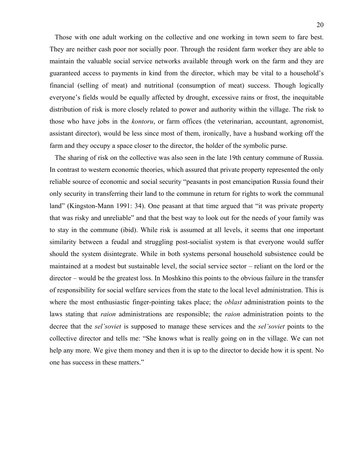Those with one adult working on the collective and one working in town seem to fare best. They are neither cash poor nor socially poor. Through the resident farm worker they are able to maintain the valuable social service networks available through work on the farm and they are guaranteed access to payments in kind from the director, which may be vital to a household's financial (selling of meat) and nutritional (consumption of meat) success. Though logically everyone's fields would be equally affected by drought, excessive rains or frost, the inequitable distribution of risk is more closely related to power and authority within the village. The risk to those who have jobs in the *kontoru*, or farm offices (the veterinarian, accountant, agronomist, assistant director), would be less since most of them, ironically, have a husband working off the farm and they occupy a space closer to the director, the holder of the symbolic purse.

 The sharing of risk on the collective was also seen in the late 19th century commune of Russia. In contrast to western economic theories, which assured that private property represented the only reliable source of economic and social security "peasants in post emancipation Russia found their only security in transferring their land to the commune in return for rights to work the communal land" (Kingston-Mann 1991: 34). One peasant at that time argued that "it was private property that was risky and unreliable" and that the best way to look out for the needs of your family was to stay in the commune (ibid). While risk is assumed at all levels, it seems that one important similarity between a feudal and struggling post-socialist system is that everyone would suffer should the system disintegrate. While in both systems personal household subsistence could be maintained at a modest but sustainable level, the social service sector – reliant on the lord or the director – would be the greatest loss. In Moshkino this points to the obvious failure in the transfer of responsibility for social welfare services from the state to the local level administration. This is where the most enthusiastic finger-pointing takes place; the *oblast* administration points to the laws stating that *raion* administrations are responsible; the *raion* administration points to the decree that the *sel'soviet* is supposed to manage these services and the *sel'soviet* points to the collective director and tells me: "She knows what is really going on in the village. We can not help any more. We give them money and then it is up to the director to decide how it is spent. No one has success in these matters."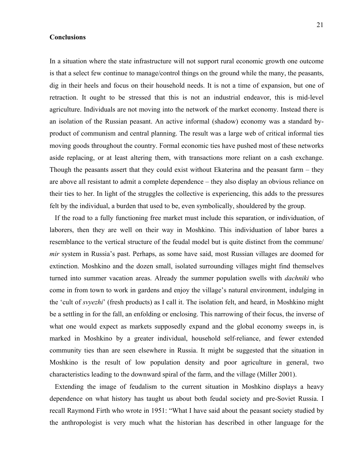#### **Conclusions**

In a situation where the state infrastructure will not support rural economic growth one outcome is that a select few continue to manage/control things on the ground while the many, the peasants, dig in their heels and focus on their household needs. It is not a time of expansion, but one of retraction. It ought to be stressed that this is not an industrial endeavor, this is mid-level agriculture. Individuals are not moving into the network of the market economy. Instead there is an isolation of the Russian peasant. An active informal (shadow) economy was a standard byproduct of communism and central planning. The result was a large web of critical informal ties moving goods throughout the country. Formal economic ties have pushed most of these networks aside replacing, or at least altering them, with transactions more reliant on a cash exchange. Though the peasants assert that they could exist without Ekaterina and the peasant farm – they are above all resistant to admit a complete dependence – they also display an obvious reliance on their ties to her. In light of the struggles the collective is experiencing, this adds to the pressures felt by the individual, a burden that used to be, even symbolically, shouldered by the group.

 If the road to a fully functioning free market must include this separation, or individuation, of laborers, then they are well on their way in Moshkino. This individuation of labor bares a resemblance to the vertical structure of the feudal model but is quite distinct from the commune/ *mir* system in Russia's past. Perhaps, as some have said, most Russian villages are doomed for extinction. Moshkino and the dozen small, isolated surrounding villages might find themselves turned into summer vacation areas. Already the summer population swells with *dachniki* who come in from town to work in gardens and enjoy the village's natural environment, indulging in the 'cult of *svyezhi*' (fresh products) as I call it. The isolation felt, and heard, in Moshkino might be a settling in for the fall, an enfolding or enclosing. This narrowing of their focus, the inverse of what one would expect as markets supposedly expand and the global economy sweeps in, is marked in Moshkino by a greater individual, household self-reliance, and fewer extended community ties than are seen elsewhere in Russia. It might be suggested that the situation in Moshkino is the result of low population density and poor agriculture in general, two characteristics leading to the downward spiral of the farm, and the village (Miller 2001).

 Extending the image of feudalism to the current situation in Moshkino displays a heavy dependence on what history has taught us about both feudal society and pre-Soviet Russia. I recall Raymond Firth who wrote in 1951: "What I have said about the peasant society studied by the anthropologist is very much what the historian has described in other language for the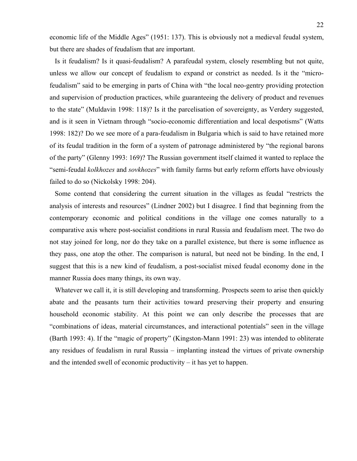economic life of the Middle Ages" (1951: 137). This is obviously not a medieval feudal system, but there are shades of feudalism that are important.

 Is it feudalism? Is it quasi-feudalism? A parafeudal system, closely resembling but not quite, unless we allow our concept of feudalism to expand or constrict as needed. Is it the "microfeudalism" said to be emerging in parts of China with "the local neo-gentry providing protection and supervision of production practices, while guaranteeing the delivery of product and revenues to the state" (Muldavin 1998: 118)? Is it the parcelisation of sovereignty, as Verdery suggested, and is it seen in Vietnam through "socio-economic differentiation and local despotisms" (Watts 1998: 182)? Do we see more of a para-feudalism in Bulgaria which is said to have retained more of its feudal tradition in the form of a system of patronage administered by "the regional barons of the party" (Glenny 1993: 169)? The Russian government itself claimed it wanted to replace the "semi-feudal *kolkhozes* and *sovkhozes*" with family farms but early reform efforts have obviously failed to do so (Nickolsky 1998: 204).

 Some contend that considering the current situation in the villages as feudal "restricts the analysis of interests and resources" (Lindner 2002) but I disagree. I find that beginning from the contemporary economic and political conditions in the village one comes naturally to a comparative axis where post-socialist conditions in rural Russia and feudalism meet. The two do not stay joined for long, nor do they take on a parallel existence, but there is some influence as they pass, one atop the other. The comparison is natural, but need not be binding. In the end, I suggest that this is a new kind of feudalism, a post-socialist mixed feudal economy done in the manner Russia does many things, its own way.

Whatever we call it, it is still developing and transforming. Prospects seem to arise then quickly abate and the peasants turn their activities toward preserving their property and ensuring household economic stability. At this point we can only describe the processes that are "combinations of ideas, material circumstances, and interactional potentials" seen in the village (Barth 1993: 4). If the "magic of property" (Kingston-Mann 1991: 23) was intended to obliterate any residues of feudalism in rural Russia – implanting instead the virtues of private ownership and the intended swell of economic productivity – it has yet to happen.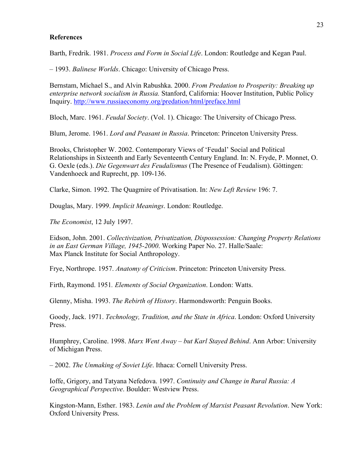### **References**

Barth, Fredrik. 1981. *Process and Form in Social Life*. London: Routledge and Kegan Paul.

– 1993. *Balinese Worlds*. Chicago: University of Chicago Press.

Bernstam, Michael S., and Alvin Rabushka. 2000. *From Predation to Prosperity: Breaking up enterprise network socialism in Russia.* Stanford, California: Hoover Institution, Public Policy Inquiry. http://www.russiaeconomy.org/predation/html/preface.html

Bloch, Marc. 1961. *Feudal Society*. (Vol. 1). Chicago: The University of Chicago Press.

Blum, Jerome. 1961. *Lord and Peasant in Russia*. Princeton: Princeton University Press.

Brooks, Christopher W. 2002. Contemporary Views of 'Feudal' Social and Political Relationships in Sixteenth and Early Seventeenth Century England. In: N. Fryde, P. Monnet, O. G. Oexle (eds.). *Die Gegenwart des Feudalismus* (The Presence of Feudalism). Göttingen: Vandenhoeck and Ruprecht, pp. 109-136.

Clarke, Simon. 1992. The Quagmire of Privatisation. In: *New Left Review* 196: 7.

Douglas, Mary. 1999. *Implicit Meanings*. London: Routledge.

*The Economist*, 12 July 1997.

Eidson, John. 2001. *Collectivization, Privatization, Dispossession: Changing Property Relations in an East German Village, 1945-2000*. Working Paper No. 27. Halle/Saale: Max Planck Institute for Social Anthropology.

Frye, Northrope. 1957. *Anatomy of Criticism*. Princeton: Princeton University Press.

Firth, Raymond. 1951*. Elements of Social Organization*. London: Watts.

Glenny, Misha. 1993. *The Rebirth of History*. Harmondsworth: Penguin Books.

Goody, Jack. 1971. *Technology, Tradition, and the State in Africa*. London: Oxford University Press.

Humphrey, Caroline. 1998. *Marx Went Away – but Karl Stayed Behind*. Ann Arbor: University of Michigan Press.

– 2002. *The Unmaking of Soviet Life*. Ithaca: Cornell University Press.

Ioffe, Grigory, and Tatyana Nefedova. 1997. *Continuity and Change in Rural Russia: A Geographical Perspective*. Boulder: Westview Press.

Kingston-Mann, Esther. 1983. *Lenin and the Problem of Marxist Peasant Revolution*. New York: Oxford University Press.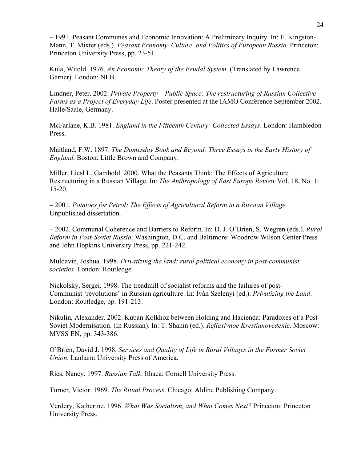– 1991. Peasant Communes and Economic Innovation: A Preliminary Inquiry. In: E. Kingston-Mann, T. Mixter (eds.). *Peasant Economy, Culture, and Politics of European Russia*. Princeton: Princeton University Press, pp. 23-51.

Kula, Witold. 1976. *An Economic Theory of the Feudal System*. (Translated by Lawrence Garner). London: NLB.

Lindner, Peter. 2002. *Private Property – Public Space: The restructuring of Russian Collective Farms as a Project of Everyday Life*. Poster presented at the IAMO Conference September 2002. Halle/Saale, Germany.

McFarlane, K.B. 1981. *England in the Fifteenth Century: Collected Essays*. London: Hambledon Press.

Maitland, F.W. 1897. *The Domesday Book and Beyond: Three Essays in the Early History of England*. Boston: Little Brown and Company.

Miller, Liesl L. Gambold. 2000. What the Peasants Think: The Effects of Agriculture Restructuring in a Russian Village. In: *The Anthropology of East Europe Review* Vol. 18, No. 1: 15-20.

– 2001. *Potatoes for Petrol: The Effects of Agricultural Reform in a Russian Village.* Unpublished dissertation.

– 2002. Communal Coherence and Barriers to Reform. In: D. J. O'Brien, S. Wegren (eds.). *Rural Reform in Post-Soviet Russia*. Washington, D.C. and Baltimore: Woodrow Wilson Center Press and John Hopkins University Press, pp. 221-242.

Muldavin, Joshua. 1998. *Privatizing the land: rural political economy in post-communist societies.* London: Routledge.

Nickolsky, Sergei. 1998. The treadmill of socialist reforms and the failures of post-Communist 'revolutions' in Russian agriculture. In: Iván Szelényi (ed.). *Privatizing the Land*. London: Routledge, pp. 191-213.

Nikulin, Alexander. 2002. Kuban Kolkhoz between Holding and Hacienda: Paradoxes of a Post-Soviet Modernisation. (In Russian). In: T. Shanin (ed.). *Reflexivnoe Krestianovedenie*. Moscow: MVSS EN, pp. 343-386.

O'Brien, David J. 1998. *Services and Quality of Life in Rural Villages in the Former Soviet Union*. Lanham: University Press of America.

Ries, Nancy. 1997. *Russian Talk*. Ithaca: Cornell University Press.

Turner, Victor. 1969. *The Ritual Process*. Chicago: Aldine Publishing Company.

Verdery, Katherine. 1996. *What Was Socialism, and What Comes Next?* Princeton: Princeton University Press.